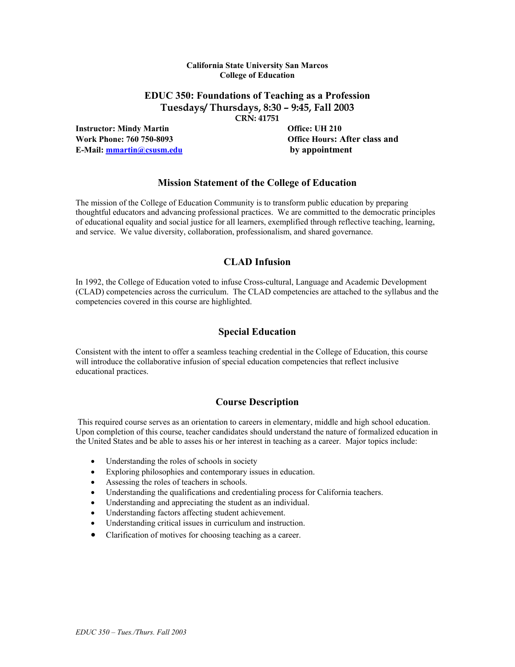#### **California State University San Marcos College of Education**

# **EDUC 350: Foundations of Teaching as a Profession Tuesdays/ Thursdays, 8:30 – 9:45, Fall 2003**

**CRN: 41751** 

**Instructor: Mindy Martin Community Community Community Community Office: UH 210 E-Mail: mmartin@csusm.edu by appointment**

**Work Phone: 760 750-8093 Office Hours: After class and** 

## **Mission Statement of the College of Education**

The mission of the College of Education Community is to transform public education by preparing thoughtful educators and advancing professional practices. We are committed to the democratic principles of educational equality and social justice for all learners, exemplified through reflective teaching, learning, and service. We value diversity, collaboration, professionalism, and shared governance.

## **CLAD Infusion**

In 1992, the College of Education voted to infuse Cross-cultural, Language and Academic Development (CLAD) competencies across the curriculum. The CLAD competencies are attached to the syllabus and the competencies covered in this course are highlighted.

## **Special Education**

Consistent with the intent to offer a seamless teaching credential in the College of Education, this course will introduce the collaborative infusion of special education competencies that reflect inclusive educational practices.

## **Course Description**

This required course serves as an orientation to careers in elementary, middle and high school education. Upon completion of this course, teacher candidates should understand the nature of formalized education in the United States and be able to asses his or her interest in teaching as a career. Major topics include:

- Understanding the roles of schools in society
- Exploring philosophies and contemporary issues in education.
- Assessing the roles of teachers in schools.
- Understanding the qualifications and credentialing process for California teachers.
- Understanding and appreciating the student as an individual.
- Understanding factors affecting student achievement.
- Understanding critical issues in curriculum and instruction.
- Clarification of motives for choosing teaching as a career.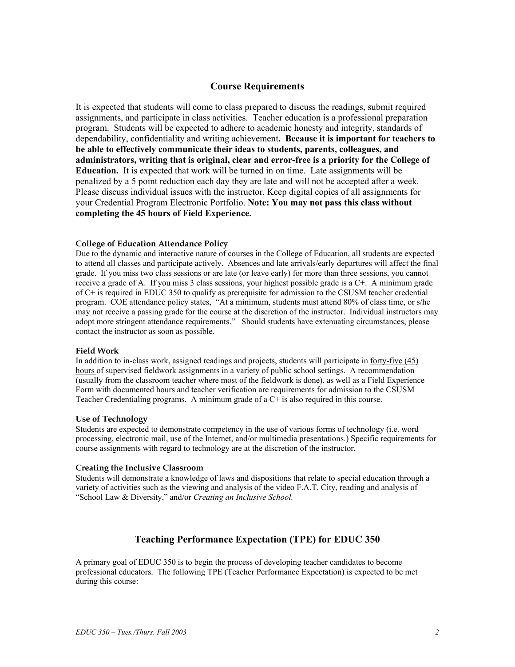## **Course Requirements**

It is expected that students will come to class prepared to discuss the readings, submit required assignments, and participate in class activities. Teacher education is a professional preparation program. Students will be expected to adhere to academic honesty and integrity, standards of dependability, confidentiality and writing achievement**. Because it is important for teachers to be able to effectively communicate their ideas to students, parents, colleagues, and administrators, writing that is original, clear and error-free is a priority for the College of Education.** It is expected that work will be turned in on time. Late assignments will be penalized by a 5 point reduction each day they are late and will not be accepted after a week. Please discuss individual issues with the instructor. Keep digital copies of all assignments for your Credential Program Electronic Portfolio. **Note: You may not pass this class without completing the 45 hours of Field Experience.** 

#### **College of Education Attendance Policy**

Due to the dynamic and interactive nature of courses in the College of Education, all students are expected to attend all classes and participate actively. Absences and late arrivals/early departures will affect the final grade. If you miss two class sessions or are late (or leave early) for more than three sessions, you cannot receive a grade of A. If you miss 3 class sessions, your highest possible grade is a C+. A minimum grade of C+ is required in EDUC 350 to qualify as prerequisite for admission to the CSUSM teacher credential program. COE attendance policy states, "At a minimum, students must attend 80% of class time, or s/he may not receive a passing grade for the course at the discretion of the instructor. Individual instructors may adopt more stringent attendance requirements." Should students have extenuating circumstances, please contact the instructor as soon as possible.

#### **Field Work**

In addition to in-class work, assigned readings and projects, students will participate in forty-five (45) hours of supervised fieldwork assignments in a variety of public school settings. A recommendation (usually from the classroom teacher where most of the fieldwork is done), as well as a Field Experience Form with documented hours and teacher verification are requirements for admission to the CSUSM Teacher Credentialing programs. A minimum grade of  $a<sup>C+</sup>$  is also required in this course.

#### **Use of Technology**

Students are expected to demonstrate competency in the use of various forms of technology (i.e. word processing, electronic mail, use of the Internet, and/or multimedia presentations.) Specific requirements for course assignments with regard to technology are at the discretion of the instructor.

#### **Creating the Inclusive Classroom**

Students will demonstrate a knowledge of laws and dispositions that relate to special education through a variety of activities such as the viewing and analysis of the video F.A.T. City, reading and analysis of "School Law & Diversity," and/or *Creating an Inclusive School.*

## **Teaching Performance Expectation (TPE) for EDUC 350**

A primary goal of EDUC 350 is to begin the process of developing teacher candidates to become professional educators. The following TPE (Teacher Performance Expectation) is expected to be met during this course: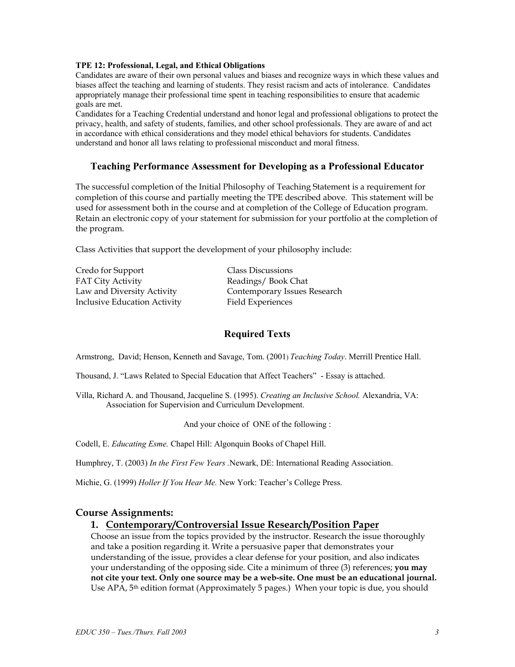#### **TPE 12: Professional, Legal, and Ethical Obligations**

Candidates are aware of their own personal values and biases and recognize ways in which these values and biases affect the teaching and learning of students. They resist racism and acts of intolerance. Candidates appropriately manage their professional time spent in teaching responsibilities to ensure that academic goals are met.

Candidates for a Teaching Credential understand and honor legal and professional obligations to protect the privacy, health, and safety of students, families, and other school professionals. They are aware of and act in accordance with ethical considerations and they model ethical behaviors for students. Candidates understand and honor all laws relating to professional misconduct and moral fitness.

### **Teaching Performance Assessment for Developing as a Professional Educator**

The successful completion of the Initial Philosophy of Teaching Statement is a requirement for completion of this course and partially meeting the TPE described above. This statement will be used for assessment both in the course and at completion of the College of Education program. Retain an electronic copy of your statement for submission for your portfolio at the completion of the program.

Class Activities that support the development of your philosophy include:

Credo for Support Class Discussions FAT City Activity **Readings** / Book Chat Inclusive Education Activity Field Experiences

Law and Diversity Activity Contemporary Issues Research

## **Required Texts**

Armstrong, David; Henson, Kenneth and Savage, Tom. (2001) *Teaching Today*. Merrill Prentice Hall.

Thousand, J. "Laws Related to Special Education that Affect Teachers" - Essay is attached.

Villa, Richard A. and Thousand, Jacqueline S. (1995). *Creating an Inclusive School.* Alexandria, VA: Association for Supervision and Curriculum Development.

And your choice of ONE of the following :

Codell, E. *Educating Esme.* Chapel Hill: Algonquin Books of Chapel Hill.

Humphrey, T. (2003) *In the First Few Years .*Newark, DE: International Reading Association.

Michie, G. (1999) *Holler If You Hear Me.* New York: Teacher's College Press.

### **Course Assignments:**

### **1. Contemporary/Controversial Issue Research/Position Paper**

Choose an issue from the topics provided by the instructor. Research the issue thoroughly and take a position regarding it. Write a persuasive paper that demonstrates your understanding of the issue, provides a clear defense for your position, and also indicates your understanding of the opposing side. Cite a minimum of three (3) references; **you may not cite your text. Only one source may be a web-site. One must be an educational journal.**  Use APA, 5<sup>th</sup> edition format (Approximately 5 pages.) When your topic is due, you should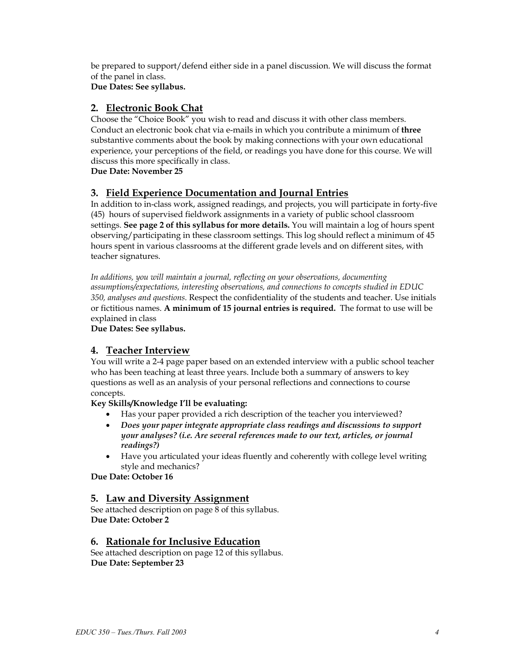be prepared to support/defend either side in a panel discussion. We will discuss the format of the panel in class.

**Due Dates: See syllabus.** 

# **2. Electronic Book Chat**

Choose the "Choice Book" you wish to read and discuss it with other class members. Conduct an electronic book chat via e-mails in which you contribute a minimum of **three** substantive comments about the book by making connections with your own educational experience, your perceptions of the field, or readings you have done for this course. We will discuss this more specifically in class.

**Due Date: November 25** 

# **3. Field Experience Documentation and Journal Entries**

In addition to in-class work, assigned readings, and projects, you will participate in forty-five (45) hours of supervised fieldwork assignments in a variety of public school classroom settings. **See page 2 of this syllabus for more details.** You will maintain a log of hours spent observing/participating in these classroom settings. This log should reflect a minimum of 45 hours spent in various classrooms at the different grade levels and on different sites, with teacher signatures.

*In additions, you will maintain a journal, reflecting on your observations, documenting assumptions/expectations, interesting observations, and connections to concepts studied in EDUC 350, analyses and questions.* Respect the confidentiality of the students and teacher. Use initials or fictitious names. **A minimum of 15 journal entries is required.** The format to use will be explained in class

**Due Dates: See syllabus.** 

# **4. Teacher Interview**

You will write a 2-4 page paper based on an extended interview with a public school teacher who has been teaching at least three years. Include both a summary of answers to key questions as well as an analysis of your personal reflections and connections to course concepts.

## **Key Skills/Knowledge I'll be evaluating:**

- Has your paper provided a rich description of the teacher you interviewed?
- *Does your paper integrate appropriate class readings and discussions to support your analyses? (i.e. Are several references made to our text, articles, or journal readings?)*
- Have you articulated your ideas fluently and coherently with college level writing style and mechanics?

**Due Date: October 16** 

# **5. Law and Diversity Assignment**

See attached description on page 8 of this syllabus. **Due Date: October 2** 

# **6. Rationale for Inclusive Education**

See attached description on page 12 of this syllabus. **Due Date: September 23**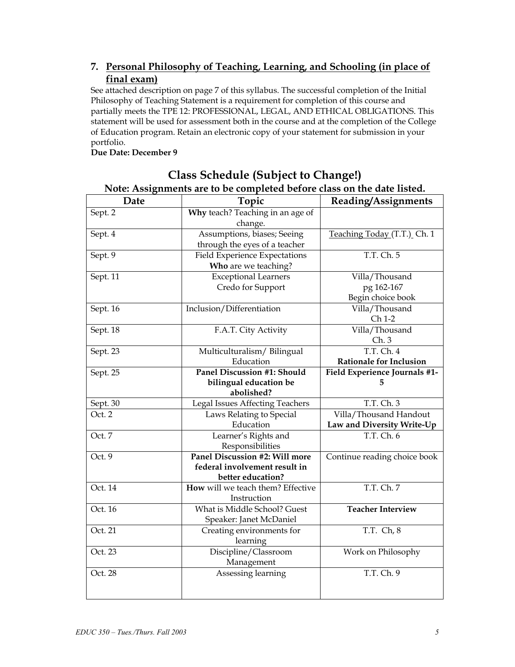# **7. Personal Philosophy of Teaching, Learning, and Schooling (in place of final exam)**

See attached description on page 7 of this syllabus. The successful completion of the Initial Philosophy of Teaching Statement is a requirement for completion of this course and partially meets the TPE 12: PROFESSIONAL, LEGAL, AND ETHICAL OBLIGATIONS. This statement will be used for assessment both in the course and at the completion of the College of Education program. Retain an electronic copy of your statement for submission in your portfolio.

## **Due Date: December 9**

| Note: Assignments are to be completed before class on the date listed. |                                        |                                |  |  |
|------------------------------------------------------------------------|----------------------------------------|--------------------------------|--|--|
| Date                                                                   | Topic                                  | Reading/Assignments            |  |  |
| Sept. 2                                                                | Why teach? Teaching in an age of       |                                |  |  |
|                                                                        | change.                                |                                |  |  |
| Sept. 4                                                                | Assumptions, biases; Seeing            | Teaching Today (T.T.) Ch. 1    |  |  |
|                                                                        | through the eyes of a teacher          |                                |  |  |
| Sept. 9                                                                | <b>Field Experience Expectations</b>   | T.T. Ch. 5                     |  |  |
|                                                                        | Who are we teaching?                   |                                |  |  |
| Sept. 11                                                               | <b>Exceptional Learners</b>            | Villa/Thousand                 |  |  |
|                                                                        | Credo for Support                      | pg 162-167                     |  |  |
|                                                                        |                                        | Begin choice book              |  |  |
| Sept. 16                                                               | Inclusion/Differentiation              | Villa/Thousand                 |  |  |
|                                                                        |                                        | Ch 1-2                         |  |  |
| Sept. $18$                                                             | F.A.T. City Activity                   | Villa/Thousand                 |  |  |
|                                                                        |                                        | Ch.3                           |  |  |
| Sept. 23                                                               | Multiculturalism/Bilingual             | T.T. Ch. 4                     |  |  |
|                                                                        | Education                              | <b>Rationale for Inclusion</b> |  |  |
| Sept. 25                                                               | <b>Panel Discussion #1: Should</b>     | Field Experience Journals #1-  |  |  |
|                                                                        | bilingual education be                 | 5                              |  |  |
|                                                                        | abolished?                             |                                |  |  |
| Sept. 30                                                               | <b>Legal Issues Affecting Teachers</b> | T.T. Ch. 3                     |  |  |
| Oct. 2                                                                 | Laws Relating to Special               | Villa/Thousand Handout         |  |  |
|                                                                        | Education                              | Law and Diversity Write-Up     |  |  |
| Oct. 7                                                                 | Learner's Rights and                   | T.T. Ch. 6                     |  |  |
|                                                                        | Responsibilities                       |                                |  |  |
| Oct. 9                                                                 | Panel Discussion #2: Will more         | Continue reading choice book   |  |  |
|                                                                        | federal involvement result in          |                                |  |  |
|                                                                        | better education?                      |                                |  |  |
| Oct. 14                                                                | How will we teach them? Effective      | T.T. Ch. 7                     |  |  |
|                                                                        | Instruction                            |                                |  |  |
| Oct. 16                                                                | What is Middle School? Guest           | <b>Teacher Interview</b>       |  |  |
|                                                                        | Speaker: Janet McDaniel                |                                |  |  |
| Oct. 21                                                                | Creating environments for              | T.T. Ch, 8                     |  |  |
|                                                                        | learning                               |                                |  |  |
| Oct. 23                                                                | Discipline/Classroom                   | Work on Philosophy             |  |  |
|                                                                        | Management                             |                                |  |  |
| Oct. 28                                                                | Assessing learning                     | T.T. Ch. 9                     |  |  |
|                                                                        |                                        |                                |  |  |
|                                                                        |                                        |                                |  |  |

# **Class Schedule (Subject to Change!) Note: Assignments are to be completed before class on the date listed.**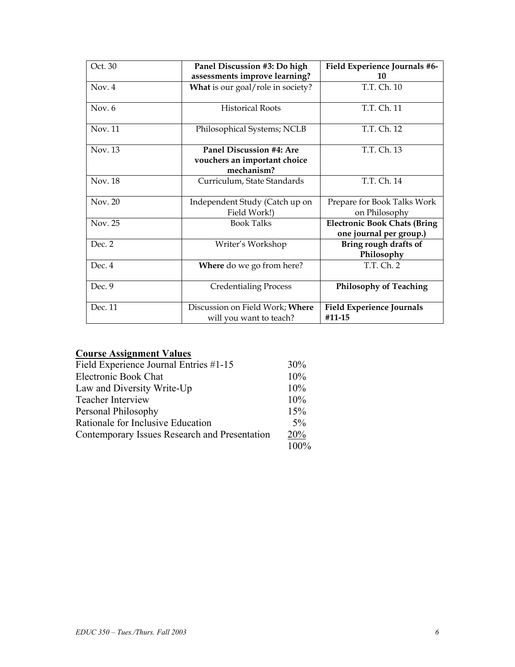| Oct. 30  | Panel Discussion #3: Do high                                           | Field Experience Journals #6-                                  |
|----------|------------------------------------------------------------------------|----------------------------------------------------------------|
|          | assessments improve learning?                                          | 10                                                             |
| Nov. 4   | What is our goal/role in society?                                      | T.T. Ch. 10                                                    |
| Nov. $6$ | <b>Historical Roots</b>                                                | T.T. Ch. 11                                                    |
| Nov. 11  | Philosophical Systems; NCLB                                            | T.T. Ch. 12                                                    |
| Nov. 13  | Panel Discussion #4: Are<br>vouchers an important choice<br>mechanism? | T.T. Ch. 13                                                    |
| Nov. 18  | Curriculum, State Standards                                            | T.T. Ch. 14                                                    |
| Nov. 20  | Independent Study (Catch up on<br>Field Work!)                         | Prepare for Book Talks Work<br>on Philosophy                   |
| Nov. 25  | <b>Book Talks</b>                                                      | <b>Electronic Book Chats (Bring</b><br>one journal per group.) |
| Dec. 2   | Writer's Workshop                                                      | Bring rough drafts of<br>Philosophy                            |
| Dec. 4   | Where do we go from here?                                              | T.T. Ch. 2                                                     |
| Dec. 9   | <b>Credentialing Process</b>                                           | <b>Philosophy of Teaching</b>                                  |
| Dec. 11  | Discussion on Field Work; Where<br>will you want to teach?             | <b>Field Experience Journals</b><br>#11-15                     |

# **Course Assignment Values**

| Field Experience Journal Entries #1-15        | 30%   |
|-----------------------------------------------|-------|
| Electronic Book Chat                          | 10%   |
| Law and Diversity Write-Up                    | 10%   |
| <b>Teacher Interview</b>                      | 10%   |
| Personal Philosophy                           | 15%   |
| Rationale for Inclusive Education             | $5\%$ |
| Contemporary Issues Research and Presentation | 20%   |
|                                               | 100%  |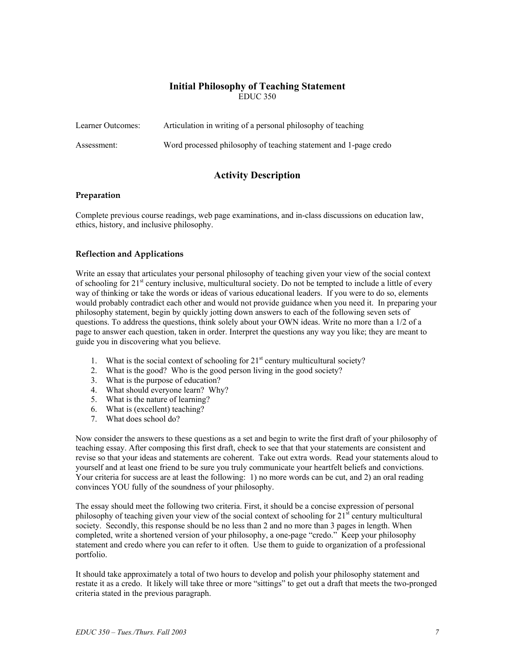### **Initial Philosophy of Teaching Statement**  EDUC 350

| Learner Outcomes: | Articulation in writing of a personal philosophy of teaching     |
|-------------------|------------------------------------------------------------------|
| Assessment:       | Word processed philosophy of teaching statement and 1-page credo |

## **Activity Description**

#### **Preparation**

Complete previous course readings, web page examinations, and in-class discussions on education law, ethics, history, and inclusive philosophy.

### **Reflection and Applications**

Write an essay that articulates your personal philosophy of teaching given your view of the social context of schooling for 21<sup>st</sup> century inclusive, multicultural society. Do not be tempted to include a little of every way of thinking or take the words or ideas of various educational leaders. If you were to do so, elements would probably contradict each other and would not provide guidance when you need it. In preparing your philosophy statement, begin by quickly jotting down answers to each of the following seven sets of questions. To address the questions, think solely about your OWN ideas. Write no more than a 1/2 of a page to answer each question, taken in order. Interpret the questions any way you like; they are meant to guide you in discovering what you believe.

- 1. What is the social context of schooling for  $21<sup>st</sup>$  century multicultural society?
- 2. What is the good? Who is the good person living in the good society?
- 3. What is the purpose of education?
- 4. What should everyone learn? Why?
- 5. What is the nature of learning?
- 6. What is (excellent) teaching?
- 7. What does school do?

Now consider the answers to these questions as a set and begin to write the first draft of your philosophy of teaching essay. After composing this first draft, check to see that that your statements are consistent and revise so that your ideas and statements are coherent. Take out extra words. Read your statements aloud to yourself and at least one friend to be sure you truly communicate your heartfelt beliefs and convictions. Your criteria for success are at least the following: 1) no more words can be cut, and 2) an oral reading convinces YOU fully of the soundness of your philosophy.

The essay should meet the following two criteria. First, it should be a concise expression of personal philosophy of teaching given your view of the social context of schooling for  $21<sup>st</sup>$  century multicultural society. Secondly, this response should be no less than 2 and no more than 3 pages in length. When completed, write a shortened version of your philosophy, a one-page "credo." Keep your philosophy statement and credo where you can refer to it often. Use them to guide to organization of a professional portfolio.

It should take approximately a total of two hours to develop and polish your philosophy statement and restate it as a credo. It likely will take three or more "sittings" to get out a draft that meets the two-pronged criteria stated in the previous paragraph.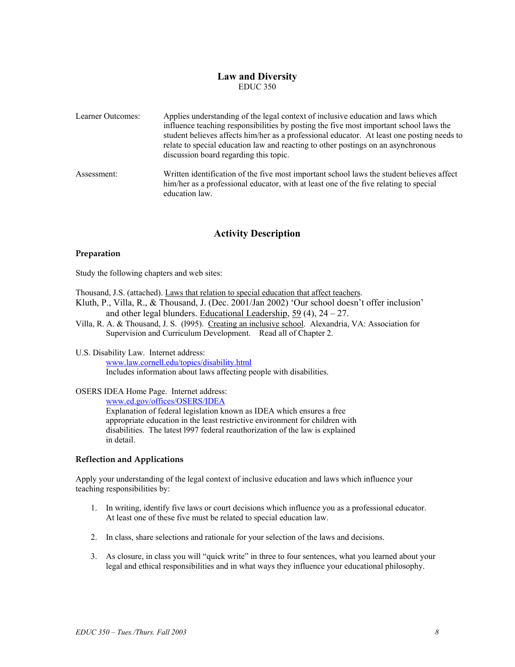### **Law and Diversity**  EDUC 350

| Learner Outcomes: | Applies understanding of the legal context of inclusive education and laws which<br>influence teaching responsibilities by posting the five most important school laws the<br>student believes affects him/her as a professional educator. At least one posting needs to<br>relate to special education law and reacting to other postings on an asynchronous<br>discussion board regarding this topic. |
|-------------------|---------------------------------------------------------------------------------------------------------------------------------------------------------------------------------------------------------------------------------------------------------------------------------------------------------------------------------------------------------------------------------------------------------|
| Assessment:       | Written identification of the five most important school laws the student believes affect<br>him/her as a professional educator, with at least one of the five relating to special<br>education law.                                                                                                                                                                                                    |

## **Activity Description**

### **Preparation**

Study the following chapters and web sites:

Thousand, J.S. (attached). Laws that relation to special education that affect teachers.

- Kluth, P., Villa, R., & Thousand, J. (Dec. 2001/Jan 2002) 'Our school doesn't offer inclusion' and other legal blunders. Educational Leadership, 59 (4), 24 – 27.
- Villa, R. A. & Thousand, J. S. (l995). Creating an inclusive school. Alexandria, VA: Association for Supervision and Curriculum Development. Read all of Chapter 2.

#### U.S. Disability Law. Internet address: www.law.cornell.edu/topics/disability.html Includes information about laws affecting people with disabilities.

### OSERS IDEA Home Page. Internet address:

www.ed.gov/offices/OSERS/IDEA

Explanation of federal legislation known as IDEA which ensures a free appropriate education in the least restrictive environment for children with disabilities. The latest l997 federal reauthorization of the law is explained in detail.

### **Reflection and Applications**

Apply your understanding of the legal context of inclusive education and laws which influence your teaching responsibilities by:

- 1. In writing, identify five laws or court decisions which influence you as a professional educator. At least one of these five must be related to special education law.
- 2. In class, share selections and rationale for your selection of the laws and decisions.
- 3. As closure, in class you will "quick write" in three to four sentences, what you learned about your legal and ethical responsibilities and in what ways they influence your educational philosophy.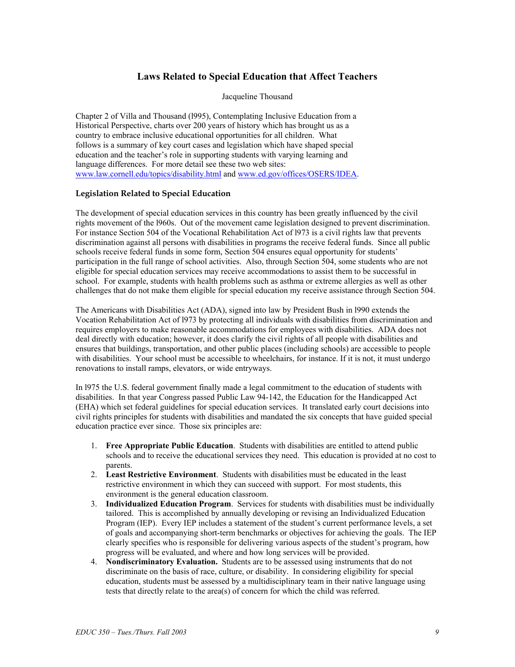# **Laws Related to Special Education that Affect Teachers**

Jacqueline Thousand

Chapter 2 of Villa and Thousand (l995), Contemplating Inclusive Education from a Historical Perspective, charts over 200 years of history which has brought us as a country to embrace inclusive educational opportunities for all children. What follows is a summary of key court cases and legislation which have shaped special education and the teacher's role in supporting students with varying learning and language differences. For more detail see these two web sites: www.law.cornell.edu/topics/disability.html and www.ed.gov/offices/OSERS/IDEA.

### **Legislation Related to Special Education**

The development of special education services in this country has been greatly influenced by the civil rights movement of the l960s. Out of the movement came legislation designed to prevent discrimination. For instance Section 504 of the Vocational Rehabilitation Act of l973 is a civil rights law that prevents discrimination against all persons with disabilities in programs the receive federal funds. Since all public schools receive federal funds in some form, Section 504 ensures equal opportunity for students' participation in the full range of school activities. Also, through Section 504, some students who are not eligible for special education services may receive accommodations to assist them to be successful in school. For example, students with health problems such as asthma or extreme allergies as well as other challenges that do not make them eligible for special education my receive assistance through Section 504.

The Americans with Disabilities Act (ADA), signed into law by President Bush in l990 extends the Vocation Rehabilitation Act of l973 by protecting all individuals with disabilities from discrimination and requires employers to make reasonable accommodations for employees with disabilities. ADA does not deal directly with education; however, it does clarify the civil rights of all people with disabilities and ensures that buildings, transportation, and other public places (including schools) are accessible to people with disabilities. Your school must be accessible to wheelchairs, for instance. If it is not, it must undergo renovations to install ramps, elevators, or wide entryways.

In l975 the U.S. federal government finally made a legal commitment to the education of students with disabilities. In that year Congress passed Public Law 94-142, the Education for the Handicapped Act (EHA) which set federal guidelines for special education services. It translated early court decisions into civil rights principles for students with disabilities and mandated the six concepts that have guided special education practice ever since. Those six principles are:

- 1. **Free Appropriate Public Education**. Students with disabilities are entitled to attend public schools and to receive the educational services they need. This education is provided at no cost to parents.
- 2. **Least Restrictive Environment**. Students with disabilities must be educated in the least restrictive environment in which they can succeed with support. For most students, this environment is the general education classroom.
- 3. **Individualized Education Program**. Services for students with disabilities must be individually tailored. This is accomplished by annually developing or revising an Individualized Education Program (IEP). Every IEP includes a statement of the student's current performance levels, a set of goals and accompanying short-term benchmarks or objectives for achieving the goals. The IEP clearly specifies who is responsible for delivering various aspects of the student's program, how progress will be evaluated, and where and how long services will be provided.
- 4. **Nondiscriminatory Evaluation.** Students are to be assessed using instruments that do not discriminate on the basis of race, culture, or disability. In considering eligibility for special education, students must be assessed by a multidisciplinary team in their native language using tests that directly relate to the area(s) of concern for which the child was referred.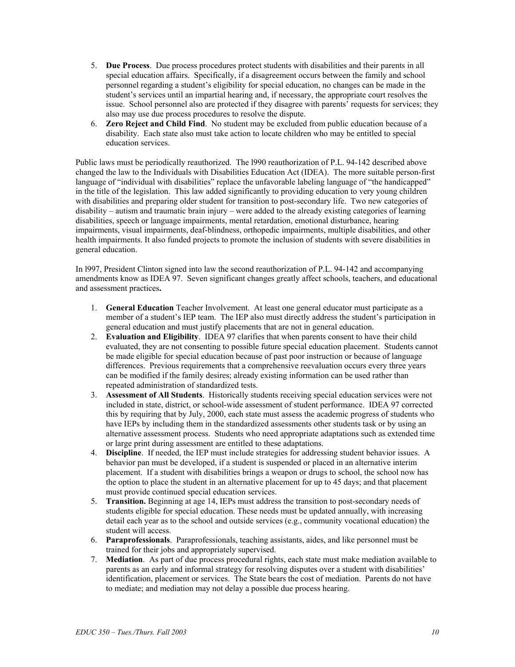- 5. **Due Process**. Due process procedures protect students with disabilities and their parents in all special education affairs. Specifically, if a disagreement occurs between the family and school personnel regarding a student's eligibility for special education, no changes can be made in the student's services until an impartial hearing and, if necessary, the appropriate court resolves the issue. School personnel also are protected if they disagree with parents' requests for services; they also may use due process procedures to resolve the dispute.
- 6. **Zero Reject and Child Find**. No student may be excluded from public education because of a disability. Each state also must take action to locate children who may be entitled to special education services.

Public laws must be periodically reauthorized. The l990 reauthorization of P.L. 94-142 described above changed the law to the Individuals with Disabilities Education Act (IDEA). The more suitable person-first language of "individual with disabilities" replace the unfavorable labeling language of "the handicapped" in the title of the legislation. This law added significantly to providing education to very young children with disabilities and preparing older student for transition to post-secondary life. Two new categories of disability – autism and traumatic brain injury – were added to the already existing categories of learning disabilities, speech or language impairments, mental retardation, emotional disturbance, hearing impairments, visual impairments, deaf-blindness, orthopedic impairments, multiple disabilities, and other health impairments. It also funded projects to promote the inclusion of students with severe disabilities in general education.

In l997, President Clinton signed into law the second reauthorization of P.L. 94-142 and accompanying amendments know as IDEA 97. Seven significant changes greatly affect schools, teachers, and educational and assessment practices**.** 

- 1. **General Education** Teacher Involvement. At least one general educator must participate as a member of a student's IEP team. The IEP also must directly address the student's participation in general education and must justify placements that are not in general education.
- 2. **Evaluation and Eligibility**. IDEA 97 clarifies that when parents consent to have their child evaluated, they are not consenting to possible future special education placement. Students cannot be made eligible for special education because of past poor instruction or because of language differences. Previous requirements that a comprehensive reevaluation occurs every three years can be modified if the family desires; already existing information can be used rather than repeated administration of standardized tests.
- 3. **Assessment of All Students**. Historically students receiving special education services were not included in state, district, or school-wide assessment of student performance. IDEA 97 corrected this by requiring that by July, 2000, each state must assess the academic progress of students who have IEPs by including them in the standardized assessments other students task or by using an alternative assessment process. Students who need appropriate adaptations such as extended time or large print during assessment are entitled to these adaptations.
- 4. **Discipline**. If needed, the IEP must include strategies for addressing student behavior issues. A behavior pan must be developed, if a student is suspended or placed in an alternative interim placement. If a student with disabilities brings a weapon or drugs to school, the school now has the option to place the student in an alternative placement for up to 45 days; and that placement must provide continued special education services.
- 5. **Transition.** Beginning at age 14, IEPs must address the transition to post-secondary needs of students eligible for special education. These needs must be updated annually, with increasing detail each year as to the school and outside services (e.g., community vocational education) the student will access.
- 6. **Paraprofessionals**. Paraprofessionals, teaching assistants, aides, and like personnel must be trained for their jobs and appropriately supervised.
- 7. **Mediation**. As part of due process procedural rights, each state must make mediation available to parents as an early and informal strategy for resolving disputes over a student with disabilities' identification, placement or services. The State bears the cost of mediation. Parents do not have to mediate; and mediation may not delay a possible due process hearing.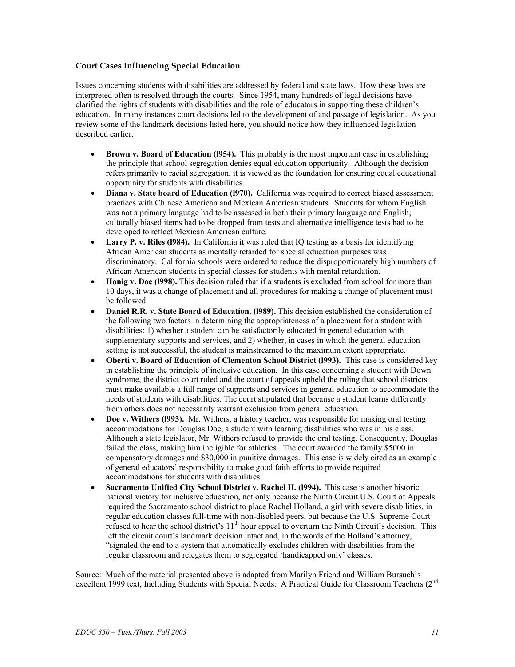### **Court Cases Influencing Special Education**

Issues concerning students with disabilities are addressed by federal and state laws. How these laws are interpreted often is resolved through the courts. Since 1954, many hundreds of legal decisions have clarified the rights of students with disabilities and the role of educators in supporting these children's education. In many instances court decisions led to the development of and passage of legislation. As you review some of the landmark decisions listed here, you should notice how they influenced legislation described earlier.

- **Brown v. Board of Education (1954).** This probably is the most important case in establishing the principle that school segregation denies equal education opportunity. Although the decision refers primarily to racial segregation, it is viewed as the foundation for ensuring equal educational opportunity for students with disabilities.
- **Diana v. State board of Education (l970).** California was required to correct biased assessment practices with Chinese American and Mexican American students. Students for whom English was not a primary language had to be assessed in both their primary language and English; culturally biased items had to be dropped from tests and alternative intelligence tests had to be developed to reflect Mexican American culture.
- **Larry P. v. Riles (1984).** In California it was ruled that IO testing as a basis for identifying African American students as mentally retarded for special education purposes was discriminatory. California schools were ordered to reduce the disproportionately high numbers of African American students in special classes for students with mental retardation.
- **Honig v. Doe (1998).** This decision ruled that if a students is excluded from school for more than 10 days, it was a change of placement and all procedures for making a change of placement must be followed.
- **Daniel R.R. v. State Board of Education. (l989).** This decision established the consideration of the following two factors in determining the appropriateness of a placement for a student with disabilities: 1) whether a student can be satisfactorily educated in general education with supplementary supports and services, and 2) whether, in cases in which the general education setting is not successful, the student is mainstreamed to the maximum extent appropriate.
- **Oberti v. Board of Education of Clementon School District (l993).** This case is considered key in establishing the principle of inclusive education. In this case concerning a student with Down syndrome, the district court ruled and the court of appeals upheld the ruling that school districts must make available a full range of supports and services in general education to accommodate the needs of students with disabilities. The court stipulated that because a student learns differently from others does not necessarily warrant exclusion from general education.
- **Doe v. Withers (l993).** Mr. Withers, a history teacher, was responsible for making oral testing accommodations for Douglas Doe, a student with learning disabilities who was in his class. Although a state legislator, Mr. Withers refused to provide the oral testing. Consequently, Douglas failed the class, making him ineligible for athletics. The court awarded the family \$5000 in compensatory damages and \$30,000 in punitive damages. This case is widely cited as an example of general educators' responsibility to make good faith efforts to provide required accommodations for students with disabilities.
- **Sacramento Unified City School District v. Rachel H. (l994).** This case is another historic national victory for inclusive education, not only because the Ninth Circuit U.S. Court of Appeals required the Sacramento school district to place Rachel Holland, a girl with severe disabilities, in regular education classes full-time with non-disabled peers, but because the U.S. Supreme Court refused to hear the school district's  $11<sup>th</sup>$  hour appeal to overturn the Ninth Circuit's decision. This left the circuit court's landmark decision intact and, in the words of the Holland's attorney, "signaled the end to a system that automatically excludes children with disabilities from the regular classroom and relegates them to segregated 'handicapped only' classes.

Source: Much of the material presented above is adapted from Marilyn Friend and William Bursuch's excellent 1999 text, Including Students with Special Needs: A Practical Guide for Classroom Teachers (2<sup>nd</sup>